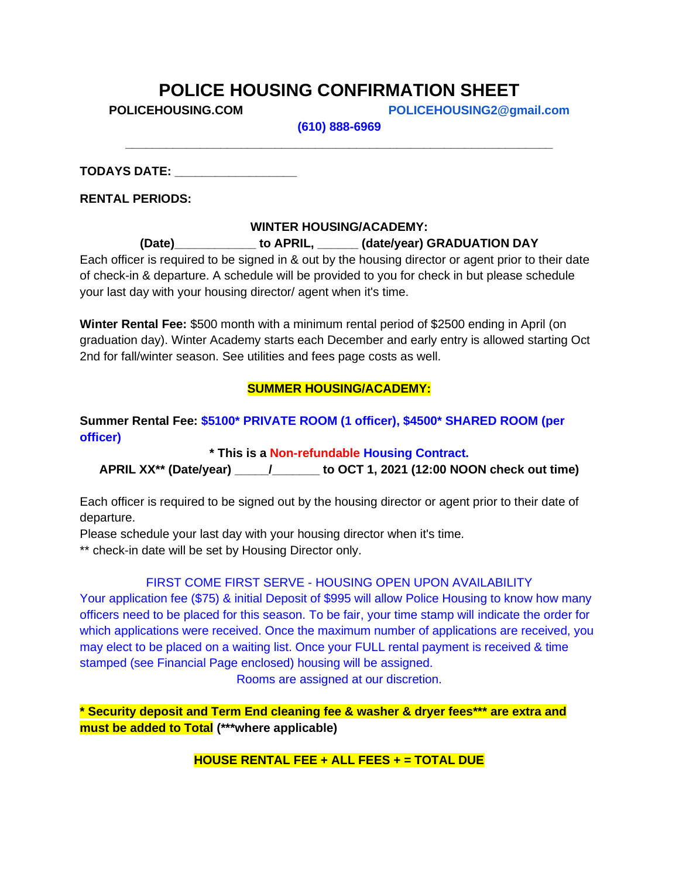## **POLICE HOUSING CONFIRMATION SHEET**

**POLICEHOUSING.COM POLICEHOUSING2@gmail.com**

**(610) 888-6969 \_\_\_\_\_\_\_\_\_\_\_\_\_\_\_\_\_\_\_\_\_\_\_\_\_\_\_\_\_\_\_\_\_\_\_\_\_\_\_\_\_\_\_\_\_\_\_\_\_\_\_\_\_\_\_\_\_\_\_\_\_\_\_**

**TODAYS DATE: \_\_\_\_\_\_\_\_\_\_\_\_\_\_\_\_\_\_**

**RENTAL PERIODS:**

#### **WINTER HOUSING/ACADEMY:**

**(Date)\_\_\_\_\_\_\_\_\_\_\_\_ to APRIL, \_\_\_\_\_\_ (date/year) GRADUATION DAY**

Each officer is required to be signed in & out by the housing director or agent prior to their date of check-in & departure. A schedule will be provided to you for check in but please schedule your last day with your housing director/ agent when it's time.

**Winter Rental Fee:** \$500 month with a minimum rental period of \$2500 ending in April (on graduation day). Winter Academy starts each December and early entry is allowed starting Oct 2nd for fall/winter season. See utilities and fees page costs as well.

### **SUMMER HOUSING/ACADEMY:**

**Summer Rental Fee: \$5100\* PRIVATE ROOM (1 officer), \$4500\* SHARED ROOM (per officer)**

**\* This is a Non-refundable Housing Contract.**

**APRIL XX\*\* (Date/year) \_\_\_\_\_/\_\_\_\_\_\_\_ to OCT 1, 2021 (12:00 NOON check out time)**

Each officer is required to be signed out by the housing director or agent prior to their date of departure.

Please schedule your last day with your housing director when it's time.

\*\* check-in date will be set by Housing Director only.

### FIRST COME FIRST SERVE - HOUSING OPEN UPON AVAILABILITY

Your application fee (\$75) & initial Deposit of \$995 will allow Police Housing to know how many officers need to be placed for this season. To be fair, your time stamp will indicate the order for which applications were received. Once the maximum number of applications are received, you may elect to be placed on a waiting list. Once your FULL rental payment is received & time stamped (see Financial Page enclosed) housing will be assigned.

Rooms are assigned at our discretion.

**\* Security deposit and Term End cleaning fee & washer & dryer fees\*\*\* are extra and must be added to Total (\*\*\*where applicable)**

**HOUSE RENTAL FEE + ALL FEES + = TOTAL DUE**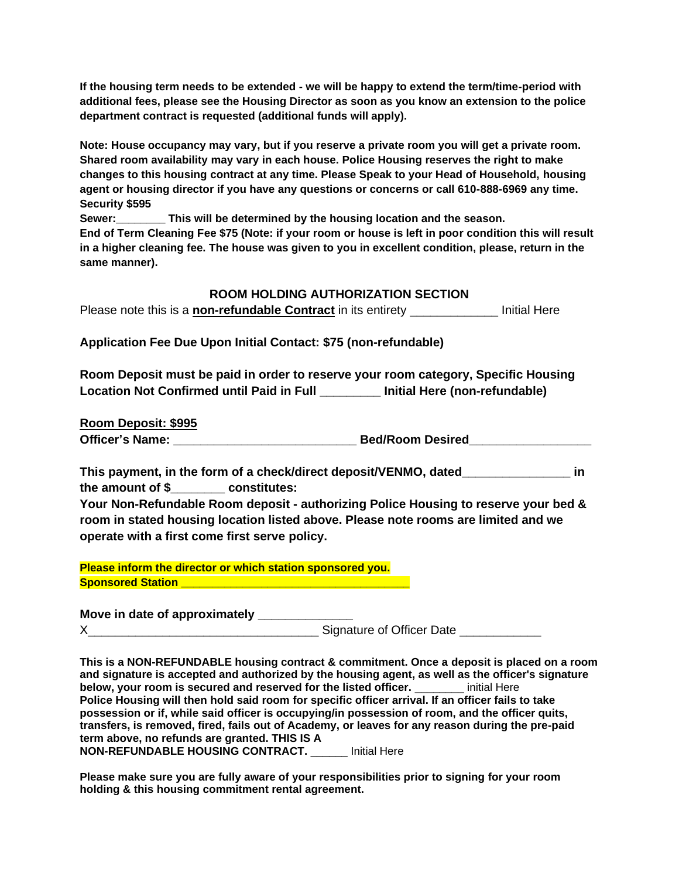**If the housing term needs to be extended - we will be happy to extend the term/time-period with additional fees, please see the Housing Director as soon as you know an extension to the police department contract is requested (additional funds will apply).**

**Note: House occupancy may vary, but if you reserve a private room you will get a private room. Shared room availability may vary in each house. Police Housing reserves the right to make changes to this housing contract at any time. Please Speak to your Head of Household, housing agent or housing director if you have any questions or concerns or call 610-888-6969 any time. Security \$595**

**Sewer:\_\_\_\_\_\_\_\_ This will be determined by the housing location and the season.**

**End of Term Cleaning Fee \$75 (Note: if your room or house is left in poor condition this will result in a higher cleaning fee. The house was given to you in excellent condition, please, return in the same manner).**

#### **ROOM HOLDING AUTHORIZATION SECTION**

Please note this is a **non-refundable Contract** in its entirety \_\_\_\_\_\_\_\_\_\_\_\_\_ Initial Here

**Application Fee Due Upon Initial Contact: \$75 (non-refundable)**

**Room Deposit must be paid in order to reserve your room category, Specific Housing Location Not Confirmed until Paid in Full \_\_\_\_\_\_\_\_\_ Initial Here (non-refundable)**

**Room Deposit: \$995**

Officer's Name: etc. and a settlement of the Bed/Room Desired

**This payment, in the form of a check/direct deposit/VENMO, dated\_\_\_\_\_\_\_\_\_\_\_\_\_\_\_\_ in the amount of \$\_\_\_\_\_\_\_\_ constitutes:**

**Your Non-Refundable Room deposit - authorizing Police Housing to reserve your bed & room in stated housing location listed above. Please note rooms are limited and we operate with a first come first serve policy.**

**Please inform the director or which station sponsored you. Sponsored Station** 

**Move in date of approximately \_\_\_\_\_\_\_\_\_\_\_\_\_\_** X\_\_\_\_\_\_\_\_\_\_\_\_\_\_\_\_\_\_\_\_\_\_\_\_\_\_\_\_\_\_\_\_\_\_ Signature of Officer Date \_\_\_\_\_\_\_\_\_\_\_\_

**This is a NON-REFUNDABLE housing contract & commitment. Once a deposit is placed on a room and signature is accepted and authorized by the housing agent, as well as the officer's signature below, your room is secured and reserved for the listed officer.** \_\_\_\_\_\_\_\_ initial Here **Police Housing will then hold said room for specific officer arrival. If an officer fails to take possession or if, while said officer is occupying/in possession of room, and the officer quits, transfers, is removed, fired, fails out of Academy, or leaves for any reason during the pre-paid term above, no refunds are granted. THIS IS A NON-REFUNDABLE HOUSING CONTRACT.** \_\_\_\_\_\_ Initial Here

**Please make sure you are fully aware of your responsibilities prior to signing for your room holding & this housing commitment rental agreement.**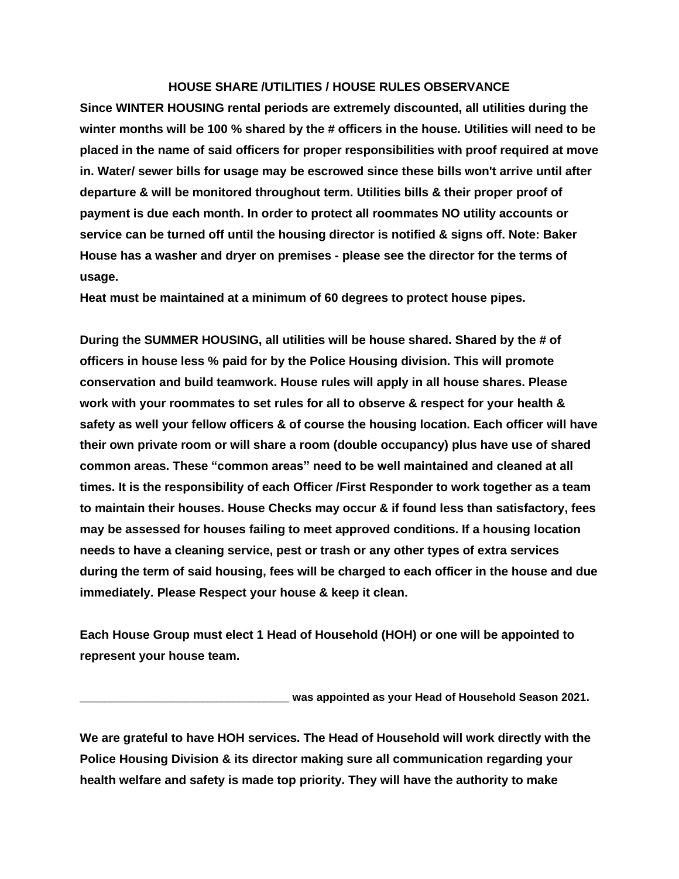#### **HOUSE SHARE /UTILITIES / HOUSE RULES OBSERVANCE**

**Since WINTER HOUSING rental periods are extremely discounted, all utilities during the winter months will be 100 % shared by the # officers in the house. Utilities will need to be placed in the name of said officers for proper responsibilities with proof required at move in. Water/ sewer bills for usage may be escrowed since these bills won't arrive until after departure & will be monitored throughout term. Utilities bills & their proper proof of payment is due each month. In order to protect all roommates NO utility accounts or service can be turned off until the housing director is notified & signs off. Note: Baker House has a washer and dryer on premises - please see the director for the terms of usage.**

**Heat must be maintained at a minimum of 60 degrees to protect house pipes.**

**During the SUMMER HOUSING, all utilities will be house shared. Shared by the # of officers in house less % paid for by the Police Housing division. This will promote conservation and build teamwork. House rules will apply in all house shares. Please work with your roommates to set rules for all to observe & respect for your health & safety as well your fellow officers & of course the housing location. Each officer will have their own private room or will share a room (double occupancy) plus have use of shared common areas. These "common areas" need to be well maintained and cleaned at all times. It is the responsibility of each Officer /First Responder to work together as a team to maintain their houses. House Checks may occur & if found less than satisfactory, fees may be assessed for houses failing to meet approved conditions. If a housing location needs to have a cleaning service, pest or trash or any other types of extra services during the term of said housing, fees will be charged to each officer in the house and due immediately. Please Respect your house & keep it clean.**

**Each House Group must elect 1 Head of Household (HOH) or one will be appointed to represent your house team.**

was appointed as your Head of Household Season 2021.

**We are grateful to have HOH services. The Head of Household will work directly with the Police Housing Division & its director making sure all communication regarding your health welfare and safety is made top priority. They will have the authority to make**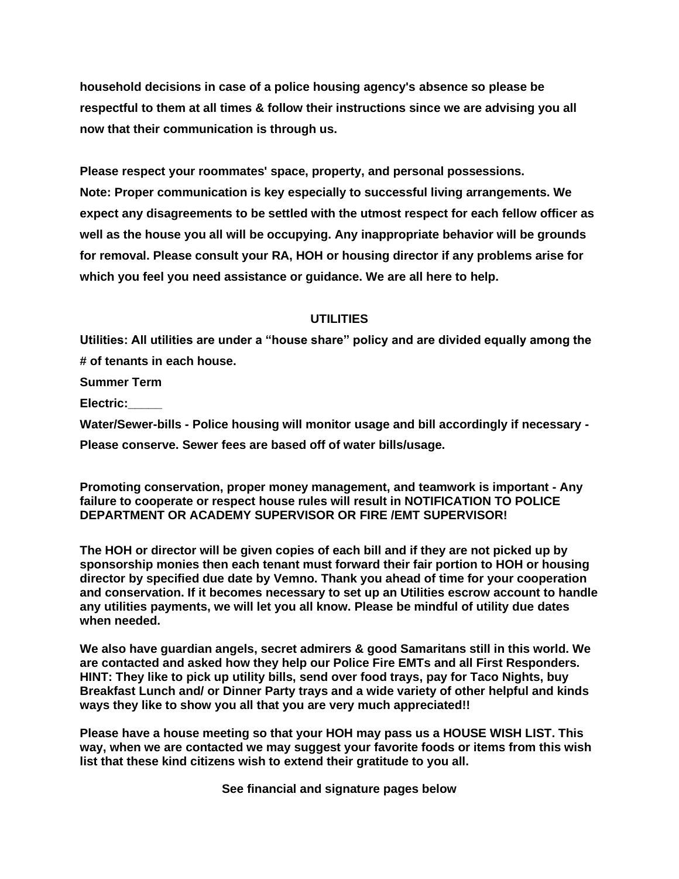**household decisions in case of a police housing agency's absence so please be respectful to them at all times & follow their instructions since we are advising you all now that their communication is through us.**

**Please respect your roommates' space, property, and personal possessions. Note: Proper communication is key especially to successful living arrangements. We expect any disagreements to be settled with the utmost respect for each fellow officer as well as the house you all will be occupying. Any inappropriate behavior will be grounds for removal. Please consult your RA, HOH or housing director if any problems arise for which you feel you need assistance or guidance. We are all here to help.**

#### **UTILITIES**

**Utilities: All utilities are under a "house share" policy and are divided equally among the # of tenants in each house.**

**Summer Term**

**Electric:\_\_\_\_\_**

**Water/Sewer-bills - Police housing will monitor usage and bill accordingly if necessary - Please conserve. Sewer fees are based off of water bills/usage.**

**Promoting conservation, proper money management, and teamwork is important - Any failure to cooperate or respect house rules will result in NOTIFICATION TO POLICE DEPARTMENT OR ACADEMY SUPERVISOR OR FIRE /EMT SUPERVISOR!**

**The HOH or director will be given copies of each bill and if they are not picked up by sponsorship monies then each tenant must forward their fair portion to HOH or housing director by specified due date by Vemno. Thank you ahead of time for your cooperation and conservation. If it becomes necessary to set up an Utilities escrow account to handle any utilities payments, we will let you all know. Please be mindful of utility due dates when needed.**

**We also have guardian angels, secret admirers & good Samaritans still in this world. We are contacted and asked how they help our Police Fire EMTs and all First Responders. HINT: They like to pick up utility bills, send over food trays, pay for Taco Nights, buy Breakfast Lunch and/ or Dinner Party trays and a wide variety of other helpful and kinds ways they like to show you all that you are very much appreciated!!**

**Please have a house meeting so that your HOH may pass us a HOUSE WISH LIST. This way, when we are contacted we may suggest your favorite foods or items from this wish list that these kind citizens wish to extend their gratitude to you all.**

**See financial and signature pages below**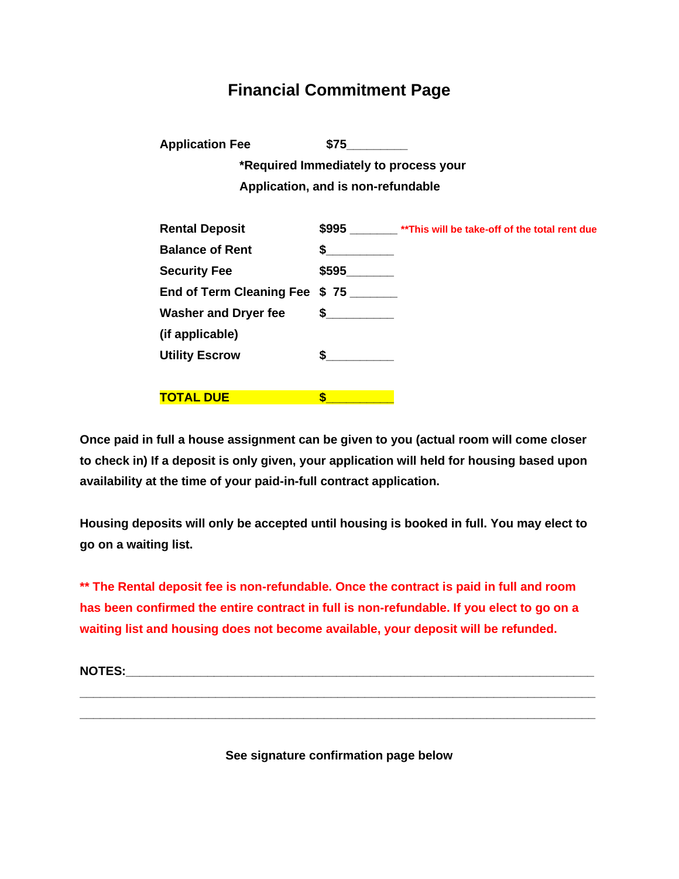## **Financial Commitment Page**

**Application Fee \$75\_\_\_\_\_\_\_\_\_**

**\*Required Immediately to process your Application, and is non-refundable**

| <b>Rental Deposit</b>         |        | \$995 ________ ** This will be take-off of the total rent due |
|-------------------------------|--------|---------------------------------------------------------------|
| <b>Balance of Rent</b>        | \$     |                                                               |
| <b>Security Fee</b>           | \$595  |                                                               |
| End of Term Cleaning Fee \$75 |        |                                                               |
| <b>Washer and Dryer fee</b>   | $\sim$ |                                                               |
| (if applicable)               |        |                                                               |
| <b>Utility Escrow</b>         |        |                                                               |
|                               |        |                                                               |
| <u>TOTAL DUE</u>              | S      |                                                               |

**Once paid in full a house assignment can be given to you (actual room will come closer to check in) If a deposit is only given, your application will held for housing based upon availability at the time of your paid-in-full contract application.**

**Housing deposits will only be accepted until housing is booked in full. You may elect to go on a waiting list.**

**\*\* The Rental deposit fee is non-refundable. Once the contract is paid in full and room has been confirmed the entire contract in full is non-refundable. If you elect to go on a waiting list and housing does not become available, your deposit will be refunded.**

**NOTES:** 

**See signature confirmation page below**

**\_\_\_\_\_\_\_\_\_\_\_\_\_\_\_\_\_\_\_\_\_\_\_\_\_\_\_\_\_\_\_\_\_\_\_\_\_\_\_\_\_\_\_\_\_\_\_\_\_\_\_\_\_\_\_\_\_\_\_\_\_\_\_\_\_\_\_\_\_\_\_\_\_\_\_\_ \_\_\_\_\_\_\_\_\_\_\_\_\_\_\_\_\_\_\_\_\_\_\_\_\_\_\_\_\_\_\_\_\_\_\_\_\_\_\_\_\_\_\_\_\_\_\_\_\_\_\_\_\_\_\_\_\_\_\_\_\_\_\_\_\_\_\_\_\_\_\_\_\_\_\_\_**